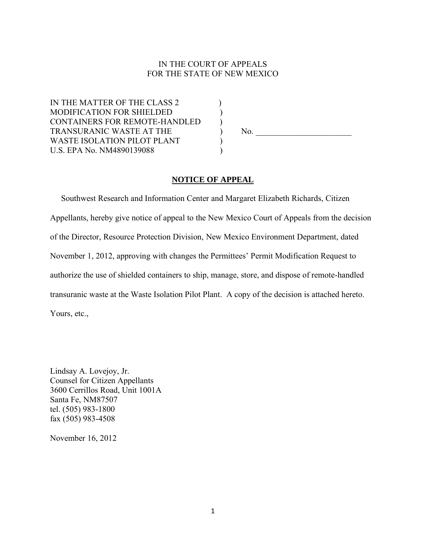## IN THE COURT OF APPEALS FOR THE STATE OF NEW MEXICO

IN THE MATTER OF THE CLASS 2 MODIFICATION FOR SHIELDED ) CONTAINERS FOR REMOTE-HANDLED ) TRANSURANIC WASTE AT THE  $\qquad \qquad$  No. WASTE ISOLATION PILOT PLANT U.S. EPA No. NM4890139088 )

## **NOTICE OF APPEAL**

 Southwest Research and Information Center and Margaret Elizabeth Richards, Citizen Appellants, hereby give notice of appeal to the New Mexico Court of Appeals from the decision of the Director, Resource Protection Division, New Mexico Environment Department, dated November 1, 2012, approving with changes the Permittees' Permit Modification Request to authorize the use of shielded containers to ship, manage, store, and dispose of remote-handled transuranic waste at the Waste Isolation Pilot Plant. A copy of the decision is attached hereto. Yours, etc.,

Lindsay A. Lovejoy, Jr. Counsel for Citizen Appellants 3600 Cerrillos Road, Unit 1001A Santa Fe, NM87507 tel. (505) 983-1800 fax (505) 983-4508

November 16, 2012